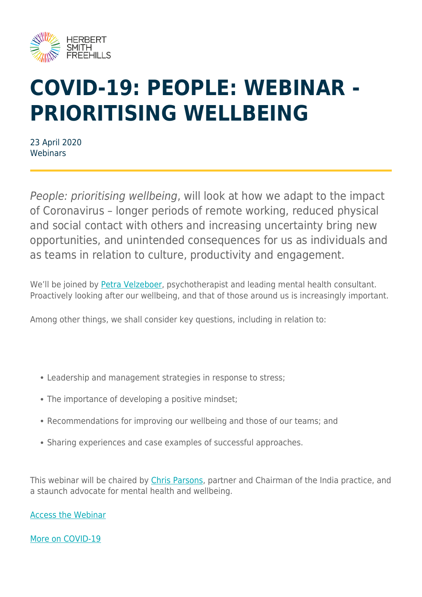

## **COVID-19: PEOPLE: WEBINAR - PRIORITISING WELLBEING**

23 April 2020 Webinars

People: prioritising wellbeing, will look at how we adapt to the impact of Coronavirus – longer periods of remote working, reduced physical and social contact with others and increasing uncertainty bring new opportunities, and unintended consequences for us as individuals and as teams in relation to culture, productivity and engagement.

We'll be joined by [Petra Velzeboer](https://petravelzeboer.com/), psychotherapist and leading mental health consultant. Proactively looking after our wellbeing, and that of those around us is increasingly important.

Among other things, we shall consider key questions, including in relation to:

- Leadership and management strategies in response to stress;
- The importance of developing a positive mindset;
- Recommendations for improving our wellbeing and those of our teams; and
- Sharing experiences and case examples of successful approaches.

This webinar will be chaired by [Chris Parsons](https://www.herbertsmithfreehills.com/our-people/chris-parsons), partner and Chairman of the India practice, and a staunch advocate for mental health and wellbeing.

[Access the Webinar](https://event.on24.com/eventRegistration/EventLobbyServlet?target=reg20.jsp&partnerref=hsfweb&eventid=2266493&sessionid=1&key=DBDB359391B54BAFCBF73F515C8EBCAE®Tag=&sourcepage=register)

[More on COVID-19](https://www.herbertsmithfreehills.com/latest-thinking/navigating-the-covid-19-outbreak)